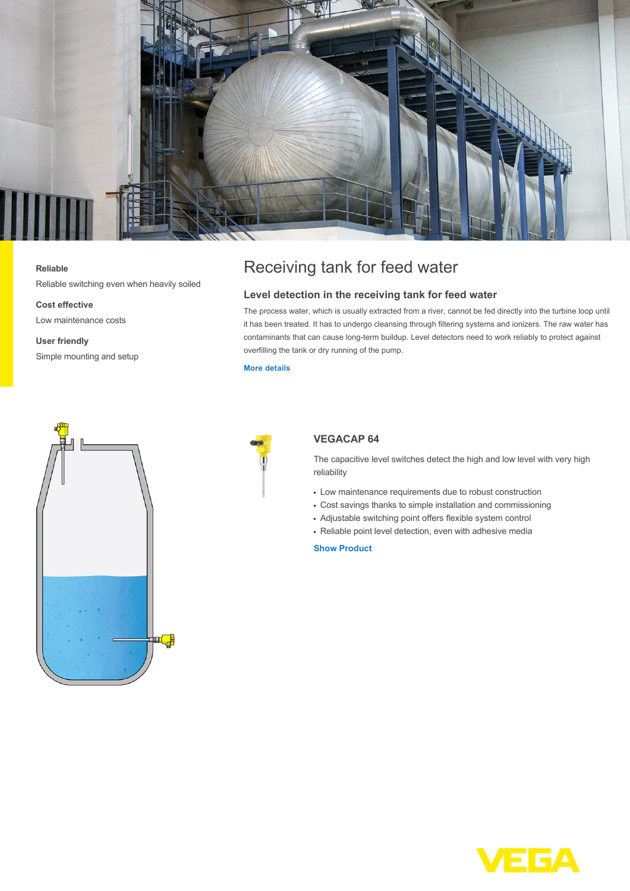

## **Reliable**

Reliable switching even when heavily soiled

**Cost effective**

Low maintenance costs

**User friendly** Simple mounting and setup

# Receiving tank for feed water

# **Level detection in the receiving tank for feed water**

The process water, which is usually extracted from a river, cannot be fed directly into the turbine loop until it has been treated. It has to undergo cleansing through filtering systems and ionizers. The raw water has contaminants that can cause long-term buildup. Level detectors need to work reliably to protect against overfilling the tank or dry running of the pump.

#### **[More details](http://localhost/en-us/industries/energy/coal-power-plant/receiving-tank-for-feed-water)**





# **VEGACAP 64**

The capacitive level switches detect the high and low level with very high reliability

- Low maintenance requirements due to robust construction
- Cost savings thanks to simple installation and commissioning
- Adjustable switching point offers flexible system control
- Reliable point level detection, even with adhesive media

## **[Show Product](http://localhost/en-us/products/product-catalog/switching/capacitive/vegacap-64)**